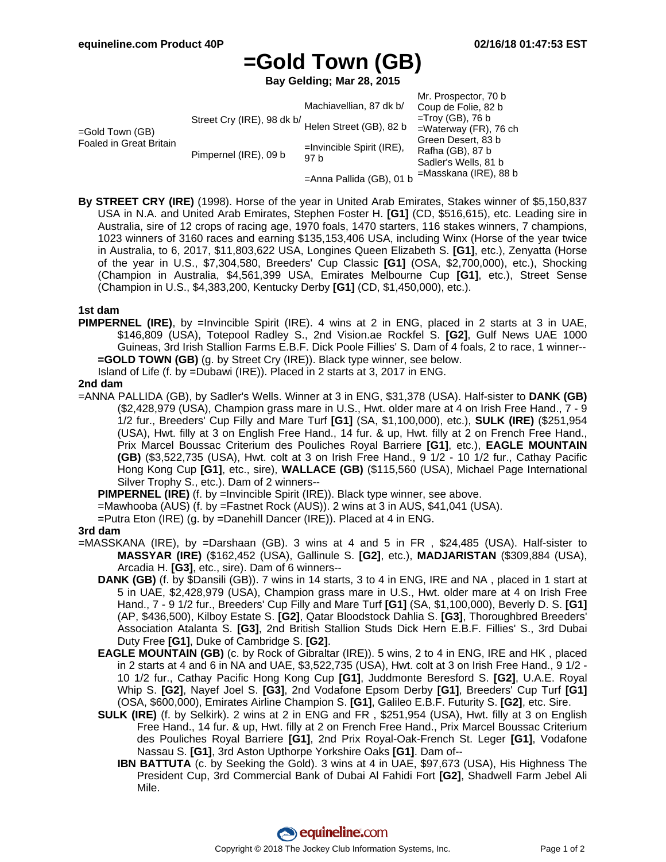# **=Gold Town (GB)**

**Bay Gelding; Mar 28, 2015**

|                                               |                            |                                      | Mr. Prospector, 70 b     |
|-----------------------------------------------|----------------------------|--------------------------------------|--------------------------|
| $=$ Gold Town (GB)<br>Foaled in Great Britain | Street Cry (IRE), 98 dk b/ | Machiavellian, 87 dk b/              | Coup de Folie, 82 b      |
|                                               |                            |                                      | $=$ Troy (GB), 76 b      |
|                                               |                            | Helen Street (GB), 82 b              | $=$ Waterway (FR), 76 ch |
|                                               | Pimpernel (IRE), 09 b      | $=$ Invincible Spirit (IRE),<br>97 b | Green Desert, 83 b       |
|                                               |                            |                                      | Rafha (GB), 87 b         |
|                                               |                            |                                      | Sadler's Wells, 81 b     |
|                                               |                            | =Anna Pallida (GB), 01 b             | =Masskana (IRE), 88 b    |

**By STREET CRY (IRE)** (1998). Horse of the year in United Arab Emirates, Stakes winner of \$5,150,837 USA in N.A. and United Arab Emirates, Stephen Foster H. **[G1]** (CD, \$516,615), etc. Leading sire in Australia, sire of 12 crops of racing age, 1970 foals, 1470 starters, 116 stakes winners, 7 champions, 1023 winners of 3160 races and earning \$135,153,406 USA, including Winx (Horse of the year twice in Australia, to 6, 2017, \$11,803,622 USA, Longines Queen Elizabeth S. **[G1]**, etc.), Zenyatta (Horse of the year in U.S., \$7,304,580, Breeders' Cup Classic **[G1]** (OSA, \$2,700,000), etc.), Shocking (Champion in Australia, \$4,561,399 USA, Emirates Melbourne Cup **[G1]**, etc.), Street Sense (Champion in U.S., \$4,383,200, Kentucky Derby **[G1]** (CD, \$1,450,000), etc.).

### **1st dam**

**PIMPERNEL (IRE)**, by =Invincible Spirit (IRE). 4 wins at 2 in ENG, placed in 2 starts at 3 in UAE, \$146,809 (USA), Totepool Radley S., 2nd Vision.ae Rockfel S. **[G2]**, Gulf News UAE 1000 Guineas, 3rd Irish Stallion Farms E.B.F. Dick Poole Fillies' S. Dam of 4 foals, 2 to race, 1 winner-- **=GOLD TOWN (GB)** (g. by Street Cry (IRE)). Black type winner, see below.

Island of Life (f. by =Dubawi (IRE)). Placed in 2 starts at 3, 2017 in ENG.

#### **2nd dam**

=ANNA PALLIDA (GB), by Sadler's Wells. Winner at 3 in ENG, \$31,378 (USA). Half-sister to **DANK (GB)** (\$2,428,979 (USA), Champion grass mare in U.S., Hwt. older mare at 4 on Irish Free Hand., 7 - 9 1/2 fur., Breeders' Cup Filly and Mare Turf **[G1]** (SA, \$1,100,000), etc.), **SULK (IRE)** (\$251,954 (USA), Hwt. filly at 3 on English Free Hand., 14 fur. & up, Hwt. filly at 2 on French Free Hand., Prix Marcel Boussac Criterium des Pouliches Royal Barriere **[G1]**, etc.), **EAGLE MOUNTAIN (GB)** (\$3,522,735 (USA), Hwt. colt at 3 on Irish Free Hand., 9 1/2 - 10 1/2 fur., Cathay Pacific Hong Kong Cup **[G1]**, etc., sire), **WALLACE (GB)** (\$115,560 (USA), Michael Page International Silver Trophy S., etc.). Dam of 2 winners--

**PIMPERNEL (IRE)** (f. by =Invincible Spirit (IRE)). Black type winner, see above.

=Mawhooba (AUS) (f. by =Fastnet Rock (AUS)). 2 wins at 3 in AUS, \$41,041 (USA).

=Putra Eton (IRE) (g. by =Danehill Dancer (IRE)). Placed at 4 in ENG.

#### **3rd dam**

- =MASSKANA (IRE), by =Darshaan (GB). 3 wins at 4 and 5 in FR , \$24,485 (USA). Half-sister to **MASSYAR (IRE)** (\$162,452 (USA), Gallinule S. **[G2]**, etc.), **MADJARISTAN** (\$309,884 (USA), Arcadia H. **[G3]**, etc., sire). Dam of 6 winners--
	- **DANK (GB)** (f. by \$Dansili (GB)). 7 wins in 14 starts, 3 to 4 in ENG, IRE and NA , placed in 1 start at 5 in UAE, \$2,428,979 (USA), Champion grass mare in U.S., Hwt. older mare at 4 on Irish Free Hand., 7 - 9 1/2 fur., Breeders' Cup Filly and Mare Turf **[G1]** (SA, \$1,100,000), Beverly D. S. **[G1]** (AP, \$436,500), Kilboy Estate S. **[G2]**, Qatar Bloodstock Dahlia S. **[G3]**, Thoroughbred Breeders' Association Atalanta S. **[G3]**, 2nd British Stallion Studs Dick Hern E.B.F. Fillies' S., 3rd Dubai Duty Free **[G1]**, Duke of Cambridge S. **[G2]**.
	- **EAGLE MOUNTAIN (GB)** (c. by Rock of Gibraltar (IRE)). 5 wins, 2 to 4 in ENG, IRE and HK , placed in 2 starts at 4 and 6 in NA and UAE, \$3,522,735 (USA), Hwt. colt at 3 on Irish Free Hand., 9 1/2 - 10 1/2 fur., Cathay Pacific Hong Kong Cup **[G1]**, Juddmonte Beresford S. **[G2]**, U.A.E. Royal Whip S. **[G2]**, Nayef Joel S. **[G3]**, 2nd Vodafone Epsom Derby **[G1]**, Breeders' Cup Turf **[G1]** (OSA, \$600,000), Emirates Airline Champion S. **[G1]**, Galileo E.B.F. Futurity S. **[G2]**, etc. Sire.
	- **SULK (IRE)** (f. by Selkirk). 2 wins at 2 in ENG and FR , \$251,954 (USA), Hwt. filly at 3 on English Free Hand., 14 fur. & up, Hwt. filly at 2 on French Free Hand., Prix Marcel Boussac Criterium des Pouliches Royal Barriere **[G1]**, 2nd Prix Royal-Oak-French St. Leger **[G1]**, Vodafone Nassau S. **[G1]**, 3rd Aston Upthorpe Yorkshire Oaks **[G1]**. Dam of--
		- **IBN BATTUTA** (c. by Seeking the Gold). 3 wins at 4 in UAE, \$97,673 (USA), His Highness The President Cup, 3rd Commercial Bank of Dubai Al Fahidi Fort **[G2]**, Shadwell Farm Jebel Ali Mile.